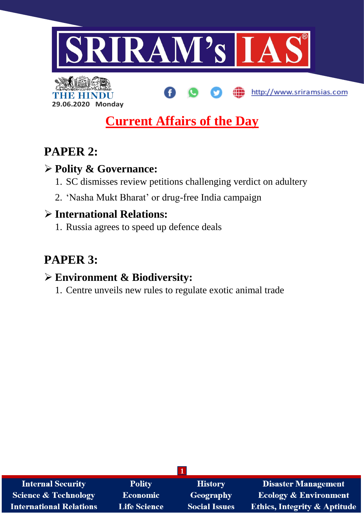

http://www.sriramsias.com



# **Current Affairs of the Day**

# **PAPER 2:**

## **Polity & Governance:**

- 1. SC dismisses review petitions challenging verdict on adultery
- 2. 'Nasha Mukt Bharat' or drug-free India campaign

# **International Relations:**

1. Russia agrees to speed up defence deals

# **PAPER 3:**

# **Environment & Biodiversity:**

1. Centre unveils new rules to regulate exotic animal trade

| <b>Internal Security</b>        | <b>Polity</b>       | <b>History</b>       | <b>Disaster Management</b>              |
|---------------------------------|---------------------|----------------------|-----------------------------------------|
| <b>Science &amp; Technology</b> | Economic            | <b>Geography</b>     | <b>Ecology &amp; Environment</b>        |
| <b>International Relations</b>  | <b>Life Science</b> | <b>Social Issues</b> | <b>Ethics, Integrity &amp; Aptitude</b> |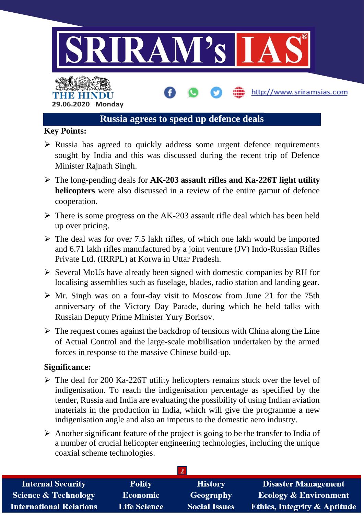

#### **Key Points:**

- $\triangleright$  Russia has agreed to quickly address some urgent defence requirements sought by India and this was discussed during the recent trip of Defence Minister Rajnath Singh.
- The long-pending deals for **AK-203 assault rifles and Ka-226T light utility helicopters** were also discussed in a review of the entire gamut of defence cooperation.
- $\triangleright$  There is some progress on the AK-203 assault rifle deal which has been held up over pricing.
- $\triangleright$  The deal was for over 7.5 lakh rifles, of which one lakh would be imported and 6.71 lakh rifles manufactured by a joint venture (JV) Indo-Russian Rifles Private Ltd. (IRRPL) at Korwa in Uttar Pradesh.
- $\triangleright$  Several MoUs have already been signed with domestic companies by RH for localising assemblies such as fuselage, blades, radio station and landing gear.
- $\triangleright$  Mr. Singh was on a four-day visit to Moscow from June 21 for the 75th anniversary of the Victory Day Parade, during which he held talks with Russian Deputy Prime Minister Yury Borisov.
- $\triangleright$  The request comes against the backdrop of tensions with China along the Line of Actual Control and the large-scale mobilisation undertaken by the armed forces in response to the massive Chinese build-up.

#### **Significance:**

- $\triangleright$  The deal for 200 Ka-226T utility helicopters remains stuck over the level of indigenisation. To reach the indigenisation percentage as specified by the tender, Russia and India are evaluating the possibility of using Indian aviation materials in the production in India, which will give the programme a new indigenisation angle and also an impetus to the domestic aero industry.
- $\triangleright$  Another significant feature of the project is going to be the transfer to India of a number of crucial helicopter engineering technologies, including the unique coaxial scheme technologies.

| <b>Internal Security</b>        | <b>Polity</b>       | <b>History</b>       | <b>Disaster Management</b>              |
|---------------------------------|---------------------|----------------------|-----------------------------------------|
| <b>Science &amp; Technology</b> | <b>Economic</b>     | Geography            | <b>Ecology &amp; Environment</b>        |
| <b>International Relations</b>  | <b>Life Science</b> | <b>Social Issues</b> | <b>Ethics, Integrity &amp; Aptitude</b> |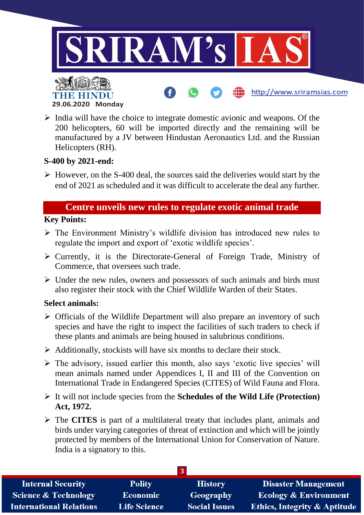

 $\triangleright$  India will have the choice to integrate domestic avionic and weapons. Of the 200 helicopters, 60 will be imported directly and the remaining will be manufactured by a JV between Hindustan Aeronautics Ltd. and the Russian Helicopters (RH).

#### **S-400 by 2021-end:**

 $\triangleright$  However, on the S-400 deal, the sources said the deliveries would start by the end of 2021 as scheduled and it was difficult to accelerate the deal any further.

### **Centre unveils new rules to regulate exotic animal trade**

#### **Key Points:**

- $\triangleright$  The Environment Ministry's wildlife division has introduced new rules to regulate the import and export of 'exotic wildlife species'.
- $\triangleright$  Currently, it is the Directorate-General of Foreign Trade, Ministry of Commerce, that oversees such trade.
- $\triangleright$  Under the new rules, owners and possessors of such animals and birds must also register their stock with the Chief Wildlife Warden of their States.

#### **Select animals:**

- $\triangleright$  Officials of the Wildlife Department will also prepare an inventory of such species and have the right to inspect the facilities of such traders to check if these plants and animals are being housed in salubrious conditions.
- $\triangleright$  Additionally, stockists will have six months to declare their stock.
- $\triangleright$  The advisory, issued earlier this month, also says 'exotic live species' will mean animals named under Appendices I, II and III of the Convention on International Trade in Endangered Species (CITES) of Wild Fauna and Flora.
- It will not include species from the **Schedules of the Wild Life (Protection) Act, 1972.**
- The **CITES** is part of a multilateral treaty that includes plant, animals and birds under varying categories of threat of extinction and which will be jointly protected by members of the International Union for Conservation of Nature. India is a signatory to this.

| <b>Internal Security</b>        | <b>Polity</b>       | <b>History</b>       | <b>Disaster Management</b>              |
|---------------------------------|---------------------|----------------------|-----------------------------------------|
| <b>Science &amp; Technology</b> | <b>Economic</b>     | Geography            | <b>Ecology &amp; Environment</b>        |
| <b>International Relations</b>  | <b>Life Science</b> | <b>Social Issues</b> | <b>Ethics, Integrity &amp; Aptitude</b> |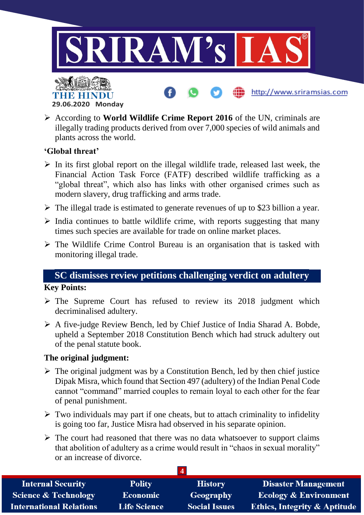

 According to **World Wildlife Crime Report 2016** of the UN, criminals are illegally trading products derived from over 7,000 species of wild animals and plants across the world.

#### **'Global threat'**

- $\triangleright$  In its first global report on the illegal wildlife trade, released last week, the Financial Action Task Force (FATF) described wildlife trafficking as a "global threat", which also has links with other organised crimes such as modern slavery, drug trafficking and arms trade.
- $\triangleright$  The illegal trade is estimated to generate revenues of up to \$23 billion a year.
- $\triangleright$  India continues to battle wildlife crime, with reports suggesting that many times such species are available for trade on online market places.
- $\triangleright$  The Wildlife Crime Control Bureau is an organisation that is tasked with monitoring illegal trade.

## **SC dismisses review petitions challenging verdict on adultery**

#### **Key Points:**

- $\triangleright$  The Supreme Court has refused to review its 2018 judgment which decriminalised adultery.
- A five-judge Review Bench, led by Chief Justice of India Sharad A. Bobde, upheld a September 2018 Constitution Bench which had struck adultery out of the penal statute book.

#### **The original judgment:**

- $\triangleright$  The original judgment was by a Constitution Bench, led by then chief justice Dipak Misra, which found that Section 497 (adultery) of the Indian Penal Code cannot "command" married couples to remain loyal to each other for the fear of penal punishment.
- $\triangleright$  Two individuals may part if one cheats, but to attach criminality to infidelity is going too far, Justice Misra had observed in his separate opinion.
- $\triangleright$  The court had reasoned that there was no data whatsoever to support claims that abolition of adultery as a crime would result in "chaos in sexual morality" or an increase of divorce.

| <b>Internal Security</b>        | <b>Polity</b>       | <b>History</b>       | <b>Disaster Management</b>              |
|---------------------------------|---------------------|----------------------|-----------------------------------------|
| <b>Science &amp; Technology</b> | <b>Economic</b>     | Geography            | <b>Ecology &amp; Environment</b>        |
| <b>International Relations</b>  | <b>Life Science</b> | <b>Social Issues</b> | <b>Ethics, Integrity &amp; Aptitude</b> |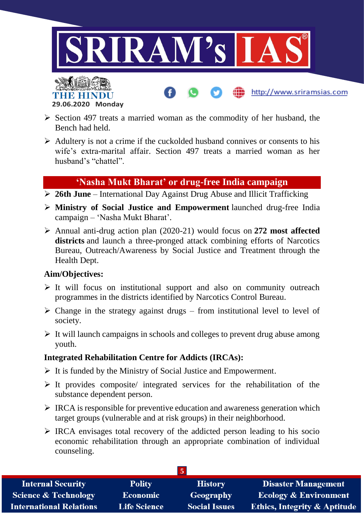

http://www.sriramsias.com



- $\triangleright$  Section 497 treats a married woman as the commodity of her husband, the Bench had held.
- $\triangleright$  Adultery is not a crime if the cuckolded husband connives or consents to his wife's extra-marital affair. Section 497 treats a married woman as her husband's "chattel".

## **'Nasha Mukt Bharat' or drug-free India campaign**

- **26th June** International Day Against Drug Abuse and Illicit Trafficking
- **Ministry of Social Justice and Empowerment** launched drug-free India campaign – 'Nasha Mukt Bharat'.
- Annual anti-drug action plan (2020-21) would focus on **272 most affected districts** and launch a three-pronged attack combining efforts of Narcotics Bureau, Outreach/Awareness by Social Justice and Treatment through the Health Dept.

#### **Aim/Objectives:**

- $\triangleright$  It will focus on institutional support and also on community outreach programmes in the districts identified by Narcotics Control Bureau.
- $\triangleright$  Change in the strategy against drugs from institutional level to level of society.
- $\triangleright$  It will launch campaigns in schools and colleges to prevent drug abuse among youth.

### **Integrated Rehabilitation Centre for Addicts (IRCAs):**

- $\triangleright$  It is funded by the Ministry of Social Justice and Empowerment.
- $\triangleright$  It provides composite/ integrated services for the rehabilitation of the substance dependent person.
- $\triangleright$  IRCA is responsible for preventive education and awareness generation which target groups (vulnerable and at risk groups) in their neighborhood.
- $\triangleright$  IRCA envisages total recovery of the addicted person leading to his socio economic rehabilitation through an appropriate combination of individual counseling.

| <b>Internal Security</b>        | <b>Polity</b>       | <b>History</b>       | <b>Disaster Management</b>              |
|---------------------------------|---------------------|----------------------|-----------------------------------------|
| <b>Science &amp; Technology</b> | <b>Economic</b>     | Geography            | <b>Ecology &amp; Environment</b>        |
| <b>International Relations</b>  | <b>Life Science</b> | <b>Social Issues</b> | <b>Ethics, Integrity &amp; Aptitude</b> |